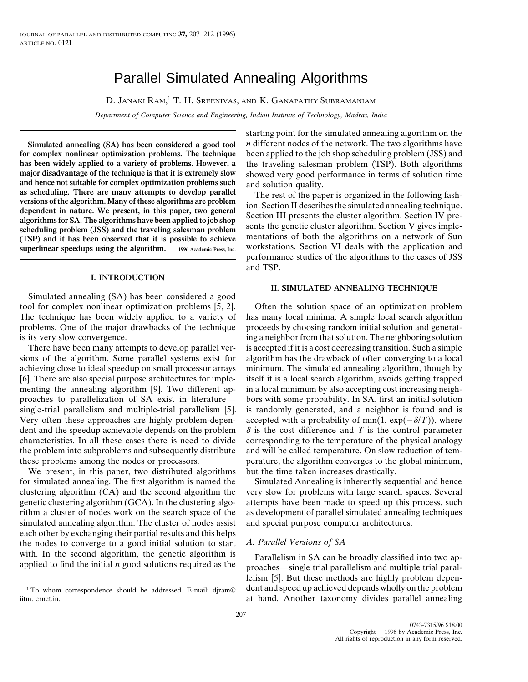# Parallel Simulated Annealing Algorithms

D. Janaki Ram,<sup>1</sup> T. H. Sreenivas, and K. Ganapathy Subramaniam

*Department of Computer Science and Engineering, Indian Institute of Technology, Madras, India*

**Simulated annealing (SA) has been considered a good tool for complex nonlinear optimization problems. The technique has been widely applied to a variety of problems. However, a major disadvantage of the technique is that it is extremely slow and hence not suitable for complex optimization problems such as scheduling. There are many attempts to develop parallel versions of the algorithm. Many of these algorithms are problem dependent in nature. We present, in this paper, two general algorithms for SA. The algorithms have been applied to job shop scheduling problem (JSS) and the traveling salesman problem (TSP) and it has been observed that it is possible to achieve** superlinear speedups using the algorithm.  $\circ$  1996 Academic Press, Inc.

## **I. INTRODUCTION**

Simulated annealing (SA) has been considered a good tool for complex nonlinear optimization problems [5, 2]. The technique has been widely applied to a variety of problems. One of the major drawbacks of the technique is its very slow convergence.

There have been many attempts to develop parallel versions of the algorithm. Some parallel systems exist for achieving close to ideal speedup on small processor arrays [6]. There are also special purpose architectures for implementing the annealing algorithm [9]. Two different approaches to parallelization of SA exist in literature single-trial parallelism and multiple-trial parallelism [5]. Very often these approaches are highly problem-dependent and the speedup achievable depends on the problem characteristics. In all these cases there is need to divide the problem into subproblems and subsequently distribute these problems among the nodes or processors.

We present, in this paper, two distributed algorithms for simulated annealing. The first algorithm is named the clustering algorithm (CA) and the second algorithm the genetic clustering algorithm (GCA). In the clustering algorithm a cluster of nodes work on the search space of the simulated annealing algorithm. The cluster of nodes assist each other by exchanging their partial results and this helps the nodes to converge to a good initial solution to start with. In the second algorithm, the genetic algorithm is applied to find the initial *n* good solutions required as the

starting point for the simulated annealing algorithm on the *n* different nodes of the network. The two algorithms have been applied to the job shop scheduling problem (JSS) and the traveling salesman problem (TSP). Both algorithms showed very good performance in terms of solution time and solution quality.

The rest of the paper is organized in the following fashion. Section II describes the simulated annealing technique. Section III presents the cluster algorithm. Section IV presents the genetic cluster algorithm. Section V gives implementations of both the algorithms on a network of Sun workstations. Section VI deals with the application and performance studies of the algorithms to the cases of JSS and TSP.

## **II. SIMULATED ANNEALING TECHNIQUE**

Often the solution space of an optimization problem has many local minima. A simple local search algorithm proceeds by choosing random initial solution and generating a neighbor from that solution. The neighboring solution is accepted if it is a cost decreasing transition. Such a simple algorithm has the drawback of often converging to a local minimum. The simulated annealing algorithm, though by itself it is a local search algorithm, avoids getting trapped in a local minimum by also accepting cost increasing neighbors with some probability. In SA, first an initial solution is randomly generated, and a neighbor is found and is accepted with a probability of min(1,  $exp(-\delta/T)$ ), where  $\delta$  is the cost difference and *T* is the control parameter corresponding to the temperature of the physical analogy and will be called temperature. On slow reduction of temperature, the algorithm converges to the global minimum, but the time taken increases drastically.

Simulated Annealing is inherently sequential and hence very slow for problems with large search spaces. Several attempts have been made to speed up this process, such as development of parallel simulated annealing techniques and special purpose computer architectures.

## *A. Parallel Versions of SA*

Parallelism in SA can be broadly classified into two approaches—single trial parallelism and multiple trial parallelism [5]. But these methods are highly problem dependent and speed up achieved depends wholly on the problem at hand. Another taxonomy divides parallel annealing

<sup>&</sup>lt;sup>1</sup> To whom correspondence should be addressed. E-mail: djram@ iitm. ernet.in.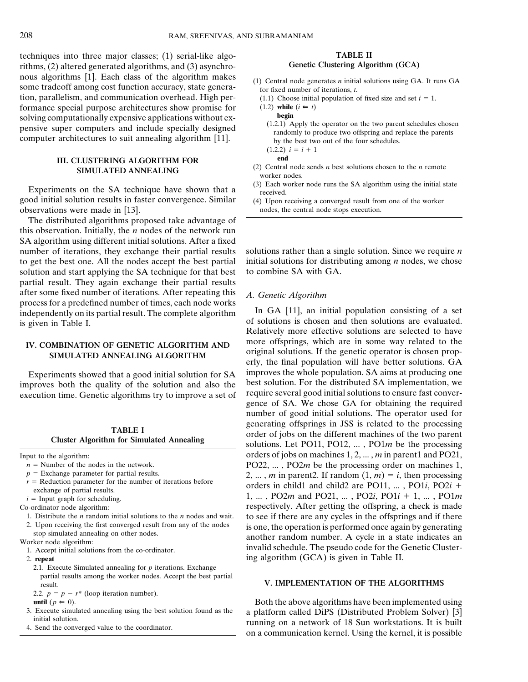techniques into three major classes; (1) serial-like algorithms, (2) altered generated algorithms, and (3) asynchronous algorithms [1]. Each class of the algorithm makes some tradeoff among cost function accuracy, state generation, parallelism, and communication overhead. High performance special purpose architectures show promise for solving computationally expensive applications without expensive super computers and include specially designed computer architectures to suit annealing algorithm [11].

# **III. CLUSTERING ALGORITHM FOR SIMULATED ANNEALING**

Experiments on the SA technique have shown that a good initial solution results in faster convergence. Similar observations were made in [13].

The distributed algorithms proposed take advantage of this observation. Initially, the *n* nodes of the network run SA algorithm using different initial solutions. After a fixed number of iterations, they exchange their partial results to get the best one. All the nodes accept the best partial solution and start applying the SA technique for that best partial result. They again exchange their partial results after some fixed number of iterations. After repeating this process for a predefined number of times, each node works independently on its partial result. The complete algorithm is given in Table I.

# **IV. COMBINATION OF GENETIC ALGORITHM AND SIMULATED ANNEALING ALGORITHM**

Experiments showed that a good initial solution for SA improves both the quality of the solution and also the execution time. Genetic algorithms try to improve a set of

## **TABLE I Cluster Algorithm for Simulated Annealing**

Input to the algorithm:

- $n =$  Number of the nodes in the network.
- $p =$  Exchange parameter for partial results.
- $r =$  Reduction parameter for the number of iterations before exchange of partial results.
- $i =$  Input graph for scheduling.
- Co-ordinator node algorithm:
	- 1. Distribute the *n* random initial solutions to the *n* nodes and wait.
	- 2. Upon receiving the first converged result from any of the nodes stop simulated annealing on other nodes.

Worker node algorithm:

- 1. Accept initial solutions from the co-ordinator.
- 2. **repeat**
	- 2.1. Execute Simulated annealing for *p* iterations. Exchange partial results among the worker nodes. Accept the best partial result.

2.2.  $p = p - r^*$  (loop iteration number).

- **until** ( $p \Leftarrow 0$ ).
- 3. Execute simulated annealing using the best solution found as the initial solution.
- 4. Send the converged value to the coordinator.

**TABLE II Genetic Clustering Algorithm (GCA)**

- (1) Central node generates *n* initial solutions using GA. It runs GA for fixed number of iterations, *t*.
	- (1.1) Choose initial population of fixed size and set  $i = 1$ .
	- $(1.2)$  while  $(i \leftarrow t)$ **begin**
		- (1.2.1) Apply the operator on the two parent schedules chosen randomly to produce two offspring and replace the parents by the best two out of the four schedules.  $(1.2.2)$   $i = i + 1$

**end**

- (2) Central node sends *n* best solutions chosen to the *n* remote worker nodes.
- (3) Each worker node runs the SA algorithm using the initial state received.
- (4) Upon receiving a converged result from one of the worker nodes, the central node stops execution.

solutions rather than a single solution. Since we require *n* initial solutions for distributing among *n* nodes, we chose to combine SA with GA.

## *A. Genetic Algorithm*

In GA [11], an initial population consisting of a set of solutions is chosen and then solutions are evaluated. Relatively more effective solutions are selected to have more offsprings, which are in some way related to the original solutions. If the genetic operator is chosen properly, the final population will have better solutions. GA improves the whole population. SA aims at producing one best solution. For the distributed SA implementation, we require several good initial solutions to ensure fast convergence of SA. We chose GA for obtaining the required number of good initial solutions. The operator used for generating offsprings in JSS is related to the processing order of jobs on the different machines of the two parent solutions. Let PO11, PO12, ... , PO1*m* be the processing orders of jobs on machines 1, 2, ... , *m* in parent1 and PO21, PO22, ... , PO2*m* be the processing order on machines 1, 2, ..., *m* in parent2. If random  $(1, m) = i$ , then processing orders in child1 and child2 are PO11, ..., PO1*i*, PO2*i* + 1, ... , PO2*m* and PO21, ... , PO2*i*, PO1*i* 1 1, ... , PO1*m* respectively. After getting the offspring, a check is made to see if there are any cycles in the offsprings and if there is one, the operation is performed once again by generating another random number. A cycle in a state indicates an invalid schedule. The pseudo code for the Genetic Clustering algorithm (GCA) is given in Table II.

#### **V. IMPLEMENTATION OF THE ALGORITHMS**

Both the above algorithms have been implemented using a platform called DiPS (Distributed Problem Solver) [3] running on a network of 18 Sun workstations. It is built on a communication kernel. Using the kernel, it is possible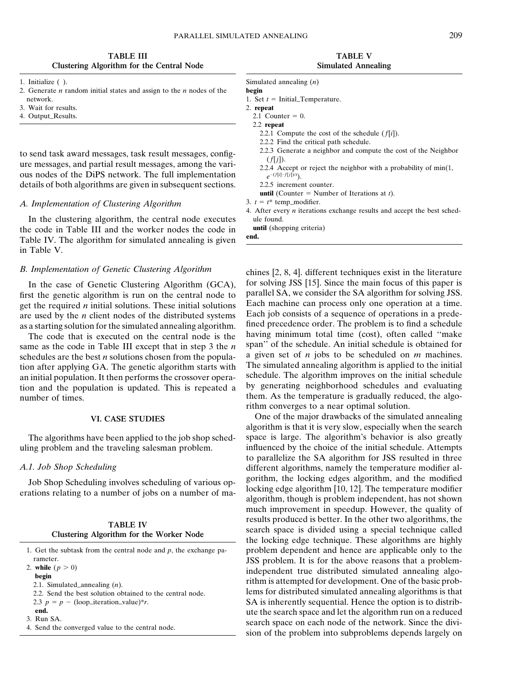**TABLE III Clustering Algorithm for the Central Node**

| <b>TABLE V</b>             |  |
|----------------------------|--|
| <b>Simulated Annealing</b> |  |

| Initialize |  |  |
|------------|--|--|
|            |  |  |

- 2. Generate *n* random initial states and assign to the *n* nodes of the network.
- 3. Wait for results.
- 4. Output–Results.

to send task award messages, task result messages, configure messages, and partial result messages, among the various nodes of the DiPS network. The full implementation details of both algorithms are given in subsequent sections.

#### *A. Implementation of Clustering Algorithm*

In the clustering algorithm, the central node executes the code in Table III and the worker nodes the code in Table IV. The algorithm for simulated annealing is given in Table V.

# *B. Implementation of Genetic Clustering Algorithm*

In the case of Genetic Clustering Algorithm (GCA), first the genetic algorithm is run on the central node to get the required *n* initial solutions. These initial solutions are used by the *n* client nodes of the distributed systems as a starting solution for the simulated annealing algorithm.

The code that is executed on the central node is the same as the code in Table III except that in step 3 the *n* schedules are the best *n* solutions chosen from the population after applying GA. The genetic algorithm starts with an initial population. It then performs the crossover operation and the population is updated. This is repeated a number of times.

#### **VI. CASE STUDIES**

The algorithms have been applied to the job shop scheduling problem and the traveling salesman problem.

#### *A.1. Job Shop Scheduling*

Job Shop Scheduling involves scheduling of various operations relating to a number of jobs on a number of ma-

| <b>TABLE IV</b>                                 |  |  |  |  |
|-------------------------------------------------|--|--|--|--|
| <b>Clustering Algorithm for the Worker Node</b> |  |  |  |  |

- 1. Get the subtask from the central node and *p*, the exchange parameter. 2. **while**  $(p > 0)$ 
	- - **begin**
	- 2.1. Simulated–annealing (*n*).
	- 2.2. Send the best solution obtained to the central node.
	- 2.3  $p = p (loop\_iteration\_value)*r$ . **end.**
- 3. Run SA.
- 4. Send the converged value to the central node.

| Simulated annealing $(n)$                                                                     |
|-----------------------------------------------------------------------------------------------|
| begin                                                                                         |
| 1. Set $t =$ Initial_Temperature.                                                             |
| 2. repeat                                                                                     |
| 2.1 Counter $= 0$ .                                                                           |
| 2.2 repeat                                                                                    |
| 2.2.1 Compute the cost of the schedule $(f[i])$ .                                             |
| 2.2.2 Find the critical path schedule.                                                        |
| 2.2.3 Generate a neighbor and compute the cost of the Neighbor                                |
| $(f[i])$ .                                                                                    |
| 2.2.4 Accept or reject the neighbor with a probability of $min(1,$<br>$e^{-(f[i]-f[j])/t)}$ . |
| 2.2.5 increment counter.                                                                      |
| <b>until</b> (Counter = Number of Iterations at t).                                           |
| 3. $t = t^*$ temp_modifier.                                                                   |
| 4. After every <i>n</i> iterations exchange results and accept the best sched-                |
| ule found.                                                                                    |
| <b>until</b> (shopping criteria)                                                              |
| end.                                                                                          |
|                                                                                               |

chines [2, 8, 4]. different techniques exist in the literature for solving JSS [15]. Since the main focus of this paper is parallel SA, we consider the SA algorithm for solving JSS. Each machine can process only one operation at a time. Each job consists of a sequence of operations in a predefined precedence order. The problem is to find a schedule having minimum total time (cost), often called ''make span'' of the schedule. An initial schedule is obtained for a given set of *n* jobs to be scheduled on *m* machines. The simulated annealing algorithm is applied to the initial schedule. The algorithm improves on the initial schedule by generating neighborhood schedules and evaluating them. As the temperature is gradually reduced, the algorithm converges to a near optimal solution.

One of the major drawbacks of the simulated annealing algorithm is that it is very slow, especially when the search space is large. The algorithm's behavior is also greatly influenced by the choice of the initial schedule. Attempts to parallelize the SA algorithm for JSS resulted in three different algorithms, namely the temperature modifier algorithm, the locking edges algorithm, and the modified locking edge algorithm [10, 12]. The temperature modifier algorithm, though is problem independent, has not shown much improvement in speedup. However, the quality of results produced is better. In the other two algorithms, the search space is divided using a special technique called the locking edge technique. These algorithms are highly problem dependent and hence are applicable only to the JSS problem. It is for the above reasons that a problemindependent true distributed simulated annealing algorithm is attempted for development. One of the basic problems for distributed simulated annealing algorithms is that SA is inherently sequential. Hence the option is to distribute the search space and let the algorithm run on a reduced search space on each node of the network. Since the division of the problem into subproblems depends largely on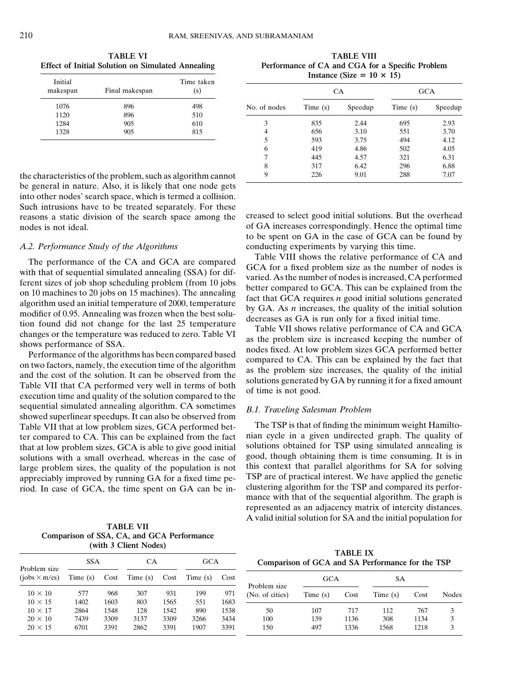**TABLE VI Effect of Initial Solution on Simulated Annealing**

| Initial<br>makespan | Final makespan | Time taken<br>(s) |
|---------------------|----------------|-------------------|
| 1076                | 896            | 498               |
| 1120                | 896            | 510               |
| 1284                | 905            | 610               |
| 1328                | 905            | 815               |

the characteristics of the problem, such as algorithm cannot be general in nature. Also, it is likely that one node gets into other nodes' search space, which is termed a collision. Such intrusions have to be treated separately. For these reasons a static division of the search space among the nodes is not ideal.

# *A.2. Performance Study of the Algorithms*

The performance of the CA and GCA are compared with that of sequential simulated annealing (SSA) for different sizes of job shop scheduling problem (from 10 jobs on 10 machines to 20 jobs on 15 machines). The annealing algorithm used an initial temperature of 2000, temperature modifier of 0.95. Annealing was frozen when the best solution found did not change for the last 25 temperature changes or the temperature was reduced to zero. Table VI shows performance of SSA.

Performance of the algorithms has been compared based on two factors, namely, the execution time of the algorithm and the cost of the solution. It can be observed from the Table VII that CA performed very well in terms of both execution time and quality of the solution compared to the sequential simulated annealing algorithm. CA sometimes showed superlinear speedups. It can also be observed from Table VII that at low problem sizes, GCA performed better compared to CA. This can be explained from the fact that at low problem sizes, GCA is able to give good initial solutions with a small overhead, whereas in the case of large problem sizes, the quality of the population is not appreciably improved by running GA for a fixed time period. In case of GCA, the time spent on GA can be in-

**TABLE VII Comparison of SSA, CA, and GCA Performance (with 3 Client Nodes)**

| Problem size         | SSA      |      | CА       |      | GCA      |      |
|----------------------|----------|------|----------|------|----------|------|
| $(iobs \times m/cs)$ | Time (s) | Cost | Time (s) | Cost | Time (s) | Cost |
| $10 \times 10$       | 577      | 968  | 307      | 931  | 199      | 971  |
| $10 \times 15$       | 1402     | 1603 | 803      | 1565 | 551      | 1683 |
| $10 \times 17$       | 2864     | 1548 | 128      | 1542 | 890      | 1538 |
| $20 \times 10$       | 7439     | 3309 | 3137     | 3309 | 3266     | 3434 |
| $20 \times 15$       | 6701     | 3391 | 2862     | 3391 | 1907     | 3391 |

**TABLE VIII Performance of CA and CGA for a Specific Problem Instance (Size = 10**  $\times$  15)

|              |            | CA      | <b>GCA</b> |         |  |
|--------------|------------|---------|------------|---------|--|
| No. of nodes | Time $(s)$ | Speedup | Time (s)   | Speedup |  |
| 3            | 835        | 2.44    | 695        | 2.93    |  |
| 4            | 656        | 3.10    | 551        | 3.70    |  |
| 5            | 593        | 3.75    | 494        | 4.12    |  |
| 6            | 419        | 4.86    | 502        | 4.05    |  |
| 7            | 445        | 4.57    | 321        | 6.31    |  |
| 8            | 317        | 6.42    | 296        | 6.88    |  |
| 9            | 226        | 9.01    | 288        | 7.07    |  |

creased to select good initial solutions. But the overhead of GA increases correspondingly. Hence the optimal time to be spent on GA in the case of GCA can be found by conducting experiments by varying this time.

Table VIII shows the relative performance of CA and GCA for a fixed problem size as the number of nodes is varied. As the number of nodes is increased, CA performed better compared to GCA. This can be explained from the fact that GCA requires *n* good initial solutions generated by GA. As *n* increases, the quality of the initial solution decreases as GA is run only for a fixed initial time.

Table VII shows relative performance of CA and GCA as the problem size is increased keeping the number of nodes fixed. At low problem sizes GCA performed better compared to CA. This can be explained by the fact that as the problem size increases, the quality of the initial solutions generated by GA by running it for a fixed amount of time is not good.

## *B.1. Traveling Salesman Problem*

The TSP is that of finding the minimum weight Hamiltonian cycle in a given undirected graph. The quality of solutions obtained for TSP using simulated annealing is good, though obtaining them is time consuming. It is in this context that parallel algorithms for SA for solving TSP are of practical interest. We have applied the genetic clustering algorithm for the TSP and compared its performance with that of the sequential algorithm. The graph is represented as an adjacency matrix of intercity distances. A valid initial solution for SA and the initial population for

**TABLE IX Comparison of GCA and SA Performance for the TSP**

| Problem size    | <b>GCA</b> |      | SА         |      |       |
|-----------------|------------|------|------------|------|-------|
| (No. of cities) | Time (s)   | Cost | Time $(s)$ | Cost | Nodes |
| 50              | 107        | 717  | 112        | 767  | 3     |
| 100             | 139        | 1136 | 308        | 1134 |       |
| 150             | 497        | 1336 | 1568       | 1218 |       |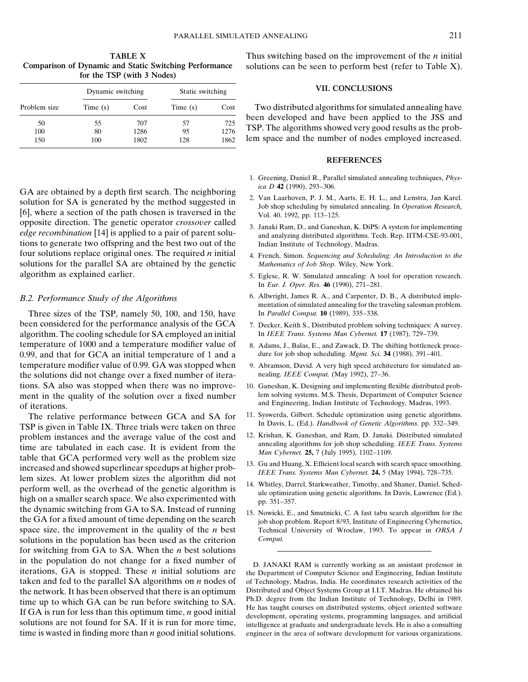**TABLE X Comparison of Dynamic and Static Switching Performance for the TSP (with 3 Nodes)**

| Problem size | Dynamic switching |      | Static switching |      |
|--------------|-------------------|------|------------------|------|
|              | Time (s)          | Cost | Time (s)         | Cost |
| 50           | 55                | 707  | 57               | 725  |
| 100          | 80                | 1286 | 95               | 1276 |
| 150          | 100               | 1802 | 128              | 1862 |

GA are obtained by a depth first search. The neighboring solution for SA is generated by the method suggested in [6], where a section of the path chosen is traversed in the opposite direction. The genetic operator *crossover* called *edge recombination* [14] is applied to a pair of parent solutions to generate two offspring and the best two out of the four solutions replace original ones. The required *n* initial solutions for the parallel SA are obtained by the genetic algorithm as explained earlier.

## *B.2. Performance Study of the Algorithms*

Three sizes of the TSP, namely 50, 100, and 150, have been considered for the performance analysis of the GCA algorithm. The cooling schedule for SA employed an initial temperature of 1000 and a temperature modifier value of 0.99, and that for GCA an initial temperature of 1 and a temperature modifier value of 0.99. GA was stopped when the solutions did not change over a fixed number of iterations. SA also was stopped when there was no improvement in the quality of the solution over a fixed number of iterations.

The relative performance between GCA and SA for TSP is given in Table IX. Three trials were taken on three problem instances and the average value of the cost and time are tabulated in each case. It is evident from the table that GCA performed very well as the problem size increased and showed superlinear speedups at higher problem sizes. At lower problem sizes the algorithm did not perform well, as the overhead of the genetic algorithm is high on a smaller search space. We also experimented with the dynamic switching from GA to SA. Instead of running the GA for a fixed amount of time depending on the search space size, the improvement in the quality of the *n* best solutions in the population has been used as the criterion for switching from GA to SA. When the *n* best solutions in the population do not change for a fixed number of iterations, GA is stopped. These *n* initial solutions are taken and fed to the parallel SA algorithms on *n* nodes of the network. It has been observed that there is an optimum time up to which GA can be run before switching to SA. If GA is run for less than this optimum time, *n* good initial solutions are not found for SA. If it is run for more time, time is wasted in finding more than *n* good initial solutions.

Thus switching based on the improvement of the *n* initial solutions can be seen to perform best (refer to Table X).

#### **VII. CONCLUSIONS**

Two distributed algorithms for simulated annealing have been developed and have been applied to the JSS and TSP. The algorithms showed very good results as the problem space and the number of nodes employed increased.

#### **REFERENCES**

- 1. Greening, Daniel R., Parallel simulated annealing techniques, *Physica D* **42** (1990), 293–306.
- 2. Van Laarhoven, P. J. M., Aarts, E. H. L., and Lenstra, Jan Karel. Job shop scheduling by simulated annealing. In *Operation Research,* Vol. 40. 1992, pp. 113–125.
- 3. Janaki Ram, D., and Ganeshan, K. DiPS: A system for implementing and analyzing distributed algorithms. Tech. Rep. IITM-CSE-93-001, Indian Institute of Technology, Madras.
- 4. French, Simon. *Sequencing and Scheduling: An Introduction to the Mathematics of Job Shop.* Wiley, New York.
- 5. Eglese, R. W. Simulated annealing: A tool for operation research. In *Eur. J. Oper. Res.* **46** (1990), 271–281.
- 6. Allwright, James R. A., and Carpenter, D. B., A distributed implementation of simulated annealing for the traveling salesman problem. In *Parallel Comput.* **10** (1989), 335–338.
- 7. Decker, Keith S., Distributed problem solving techniques: A survey. In *IEEE Trans. Systems Man Cybernet.* **17** (1987), 729–739.
- 8. Adams, J., Balas, E., and Zawack, D. The shifting bottleneck procedure for job shop scheduling. *Mgmt. Sci.* **34** (1988), 391–401.
- 9. Abramson, David. A very high speed architecture for simulated annealing. *IEEE Comput.* (May 1992), 27–36.
- 10. Ganeshan, K. Designing and implementing flexible distributed problem solving systems. M.S. Thesis, Department of Computer Science and Engineering, Indian Institute of Technology, Madras, 1993.
- 11. Syswerda, Gilbert. Schedule optimization using genetic algorithms. In Davis, L. (Ed.). *Handbook of Genetic Algorithms.* pp. 332–349.
- 12. Krishan, K. Ganeshan, and Ram, D. Janaki. Distributed simulated annealing algorithms for job shop scheduling. *IEEE Trans. Systems Man Cybernet.* **25,** 7 (July 1995), 1102–1109.
- 13. Gu and Huang, X. Efficient local search with search space smoothing. *IEEE Trans. Systems Man Cybernet.* **24,** 5 (May 1994), 728–735.
- 14. Whitley, Darrel, Starkweather, Timothy, and Shaner, Daniel. Schedule optimization using genetic algorithms. In Davis, Lawrence (Ed.). pp. 351–357.
- 15. Nowicki, E., and Smutnicki, C. A fast tabu search algorithm for the job shop problem. Report 8/93, Institute of Engineering Cybernetics, Technical University of Wroclaw, 1993. To appear in *ORSA J Comput.*

D. JANAKI RAM is currently working as an assistant professor in the Department of Computer Science and Engineering, Indian Institute of Technology, Madras, India. He coordinates research activities of the Distributed and Object Systems Group at I.I.T. Madras. He obtained his Ph.D. degree from the Indian Institute of Technology, Delhi in 1989. He has taught courses on distributed systems, object oriented software development, operating systems, programming languages, and artificial intelligence at graduate and undergraduate levels. He is also a consulting engineer in the area of software development for various organizations.